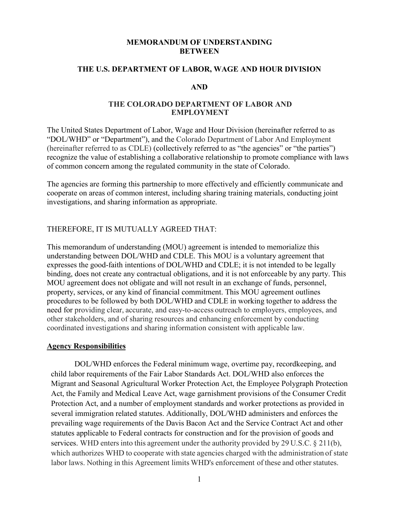#### **MEMORANDUM OF UNDERSTANDING BETWEEN**

#### **THE U.S. DEPARTMENT OF LABOR, WAGE AND HOUR DIVISION**

### **AND**

#### **THE COLORADO DEPARTMENT OF LABOR AND EMPLOYMENT**

 (hereinafter referred to as CDLE) (collectively referred to as "the agencies" or "the parties") The United States Department of Labor, Wage and Hour Division (hereinafter referred to as "DOL/WHD" or "Department"), and the Colorado Department of Labor And Employment recognize the value of establishing a collaborative relationship to promote compliance with laws of common concern among the regulated community in the state of Colorado.

The agencies are forming this partnership to more effectively and efficiently communicate and cooperate on areas of common interest, including sharing training materials, conducting joint investigations, and sharing information as appropriate.

### THEREFORE, IT IS MUTUALLY AGREED THAT:

 understanding between DOL/WHD and CDLE. This MOU is a voluntary agreement that binding, does not create any contractual obligations, and it is not enforceable by any party. This MOU agreement does not obligate and will not result in an exchange of funds, personnel, property, services, or any kind of financial commitment. This MOU agreement outlines need for providing clear, accurate, and easy-to-access outreach to employers, employees, and This memorandum of understanding (MOU) agreement is intended to memorialize this expresses the good-faith intentions of DOL/WHD and CDLE; it is not intended to be legally procedures to be followed by both DOL/WHD and CDLE in working together to address the other stakeholders, and of sharing resources and enhancing enforcement by conducting coordinated investigations and sharing information consistent with applicable law.

### **Agency Responsibilities**

 DOL/WHD enforces the Federal minimum wage, overtime pay, recordkeeping, and child labor requirements of the Fair Labor Standards Act. DOL/WHD also enforces the services. WHD enters into this agreement under the authority provided by 29 U.S.C. § 211(b), which authorizes WHD to cooperate with state agencies charged with the administration of state labor laws. Nothing in this Agreement limits WHD's enforcement of these and other statutes. Migrant and Seasonal Agricultural Worker Protection Act, the Employee Polygraph Protection Act, the Family and Medical Leave Act, wage garnishment provisions of the Consumer Credit Protection Act, and a number of employment standards and worker protections as provided in several immigration related statutes. Additionally, DOL/WHD administers and enforces the prevailing wage requirements of the Davis Bacon Act and the Service Contract Act and other statutes applicable to Federal contracts for construction and for the provision of goods and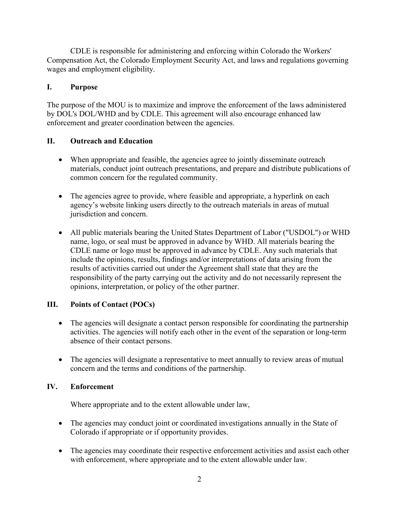CDLE is responsible for administering and enforcing within Colorado the Workers' Compensation Act, the Colorado Employment Security Act, and laws and regulations governing wages and employment eligibility.

## **I. Purpose**

The purpose of the MOU is to maximize and improve the enforcement of the laws administered by DOL's DOL/WHD and by CDLE. This agreement will also encourage enhanced law enforcement and greater coordination between the agencies.

## **II. Outreach and Education**

- • When appropriate and feasible, the agencies agree to jointly disseminate outreach materials, conduct joint outreach presentations, and prepare and distribute publications of common concern for the regulated community.
- agency's website linking users directly to the outreach materials in areas of mutual • The agencies agree to provide, where feasible and appropriate, a hyperlink on each jurisdiction and concern.
- include the opinions, results, findings and/or interpretations of data arising from the responsibility of the party carrying out the activity and do not necessarily represent the • All public materials bearing the United States Department of Labor ("USDOL") or WHD name, logo, or seal must be approved in advance by WHD. All materials bearing the CDLE name or logo must be approved in advance by CDLE. Any such materials that results of activities carried out under the Agreement shall state that they are the opinions, interpretation, or policy of the other partner.

## **III. Points of Contact (POCs)**

- activities. The agencies will notify each other in the event of the separation or long-term • The agencies will designate a contact person responsible for coordinating the partnership absence of their contact persons.
- The agencies will designate a representative to meet annually to review areas of mutual concern and the terms and conditions of the partnership.

## **IV. Enforcement**

Where appropriate and to the extent allowable under law,

- The agencies may conduct joint or coordinated investigations annually in the State of Colorado if appropriate or if opportunity provides.
- with enforcement, where appropriate and to the extent allowable under law. • The agencies may coordinate their respective enforcement activities and assist each other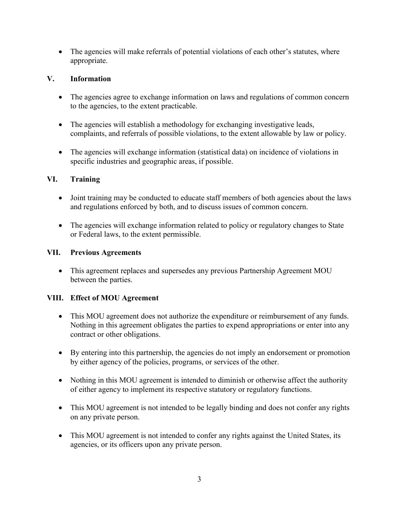• The agencies will make referrals of potential violations of each other's statutes, where appropriate.

# **V. Information**

- The agencies agree to exchange information on laws and regulations of common concern to the agencies, to the extent practicable.
- The agencies will establish a methodology for exchanging investigative leads, complaints, and referrals of possible violations, to the extent allowable by law or policy.
- The agencies will exchange information (statistical data) on incidence of violations in specific industries and geographic areas, if possible.

# **VI. Training**

- Joint training may be conducted to educate staff members of both agencies about the laws and regulations enforced by both, and to discuss issues of common concern.
- • The agencies will exchange information related to policy or regulatory changes to State or Federal laws, to the extent permissible.

# **VII. Previous Agreements**

 • This agreement replaces and supersedes any previous Partnership Agreement MOU between the parties.

# **VIII. Effect of MOU Agreement**

- This MOU agreement does not authorize the expenditure or reimbursement of any funds. Nothing in this agreement obligates the parties to expend appropriations or enter into any contract or other obligations.
- By entering into this partnership, the agencies do not imply an endorsement or promotion by either agency of the policies, programs, or services of the other.
- Nothing in this MOU agreement is intended to diminish or otherwise affect the authority of either agency to implement its respective statutory or regulatory functions.
- • This MOU agreement is not intended to be legally binding and does not confer any rights on any private person.
- • This MOU agreement is not intended to confer any rights against the United States, its agencies, or its officers upon any private person.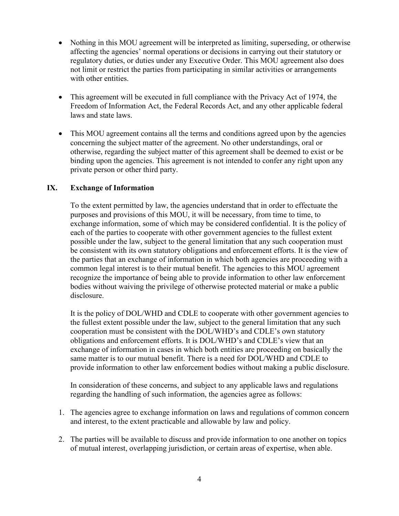- affecting the agencies' normal operations or decisions in carrying out their statutory or regulatory duties, or duties under any Executive Order. This MOU agreement also does • Nothing in this MOU agreement will be interpreted as limiting, superseding, or otherwise not limit or restrict the parties from participating in similar activities or arrangements with other entities.
- This agreement will be executed in full compliance with the Privacy Act of 1974, the Freedom of Information Act, the Federal Records Act, and any other applicable federal laws and state laws.
- This MOU agreement contains all the terms and conditions agreed upon by the agencies concerning the subject matter of the agreement. No other understandings, oral or otherwise, regarding the subject matter of this agreement shall be deemed to exist or be binding upon the agencies. This agreement is not intended to confer any right upon any private person or other third party.

### **IX. Exchange of Information**

 recognize the importance of being able to provide information to other law enforcement To the extent permitted by law, the agencies understand that in order to effectuate the purposes and provisions of this MOU, it will be necessary, from time to time, to exchange information, some of which may be considered confidential. It is the policy of each of the parties to cooperate with other government agencies to the fullest extent possible under the law, subject to the general limitation that any such cooperation must be consistent with its own statutory obligations and enforcement efforts. It is the view of the parties that an exchange of information in which both agencies are proceeding with a common legal interest is to their mutual benefit. The agencies to this MOU agreement bodies without waiving the privilege of otherwise protected material or make a public disclosure.

 obligations and enforcement efforts. It is DOL/WHD's and CDLE's view that an It is the policy of DOL/WHD and CDLE to cooperate with other government agencies to the fullest extent possible under the law, subject to the general limitation that any such cooperation must be consistent with the DOL/WHD's and CDLE's own statutory exchange of information in cases in which both entities are proceeding on basically the same matter is to our mutual benefit. There is a need for DOL/WHD and CDLE to provide information to other law enforcement bodies without making a public disclosure.

 regarding the handling of such information, the agencies agree as follows: In consideration of these concerns, and subject to any applicable laws and regulations

- 1. The agencies agree to exchange information on laws and regulations of common concern and interest, to the extent practicable and allowable by law and policy.
- 2. The parties will be available to discuss and provide information to one another on topics of mutual interest, overlapping jurisdiction, or certain areas of expertise, when able.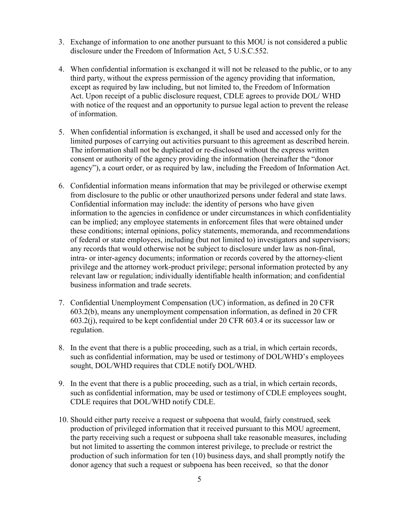- disclosure under the Freedom of Information Act, 5 U.S.C.552. 3. Exchange of information to one another pursuant to this MOU is not considered a public
- except as required by law including, but not limited to, the Freedom of Information Act. Upon receipt of a public disclosure request, CDLE agrees to provide DOL/ WHD 4. When confidential information is exchanged it will not be released to the public, or to any third party, without the express permission of the agency providing that information, with notice of the request and an opportunity to pursue legal action to prevent the release of information.
- agency"), a court order, or as required by law, including the Freedom of Information Act. 5. When confidential information is exchanged, it shall be used and accessed only for the limited purposes of carrying out activities pursuant to this agreement as described herein. The information shall not be duplicated or re-disclosed without the express written consent or authority of the agency providing the information (hereinafter the "donor
- from disclosure to the public or other unauthorized persons under federal and state laws. 6. Confidential information means information that may be privileged or otherwise exempt Confidential information may include: the identity of persons who have given information to the agencies in confidence or under circumstances in which confidentiality can be implied; any employee statements in enforcement files that were obtained under these conditions; internal opinions, policy statements, memoranda, and recommendations of federal or state employees, including (but not limited to) investigators and supervisors; any records that would otherwise not be subject to disclosure under law as non-final, intra- or inter-agency documents; information or records covered by the attorney-client privilege and the attorney work-product privilege; personal information protected by any relevant law or regulation; individually identifiable health information; and confidential business information and trade secrets.
- regulation. 7. Confidential Unemployment Compensation (UC) information, as defined in 20 CFR 603.2(b), means any unemployment compensation information, as defined in 20 CFR 603.2(j), required to be kept confidential under 20 CFR 603.4 or its successor law or
- regulation.<br>8. In the event that there is a public proceeding, such as a trial, in which certain records, such as confidential information, may be used or testimony of DOL/WHD's employees sought, DOL/WHD requires that CDLE notify DOL/WHD.
- such as confidential information, may be used or testimony of CDLE employees sought, 9. In the event that there is a public proceeding, such as a trial, in which certain records, CDLE requires that DOL/WHD notify CDLE.
- 10. Should either party receive a request or subpoena that would, fairly construed, seek production of privileged information that it received pursuant to this MOU agreement, the party receiving such a request or subpoena shall take reasonable measures, including but not limited to asserting the common interest privilege, to preclude or restrict the production of such information for ten (10) business days, and shall promptly notify the donor agency that such a request or subpoena has been received, so that the donor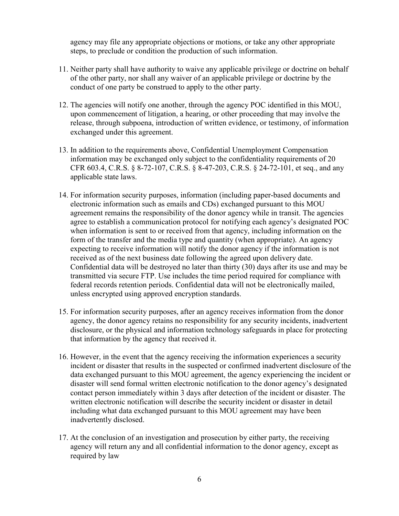agency may file any appropriate objections or motions, or take any other appropriate steps, to preclude or condition the production of such information.

- 11. Neither party shall have authority to waive any applicable privilege or doctrine on behalf of the other party, nor shall any waiver of an applicable privilege or doctrine by the conduct of one party be construed to apply to the other party.
- 12. The agencies will notify one another, through the agency POC identified in this MOU, upon commencement of litigation, a hearing, or other proceeding that may involve the release, through subpoena, introduction of written evidence, or testimony, of information exchanged under this agreement.
- 13. In addition to the requirements above, Confidential Unemployment Compensation information may be exchanged only subject to the confidentiality requirements of 20 CFR 603.4, C.R.S. § 8-72-107, C.R.S. § 8-47-203, C.R.S. § 24-72-101, et seq., and any applicable state laws.
- 14. For information security purposes, information (including paper-based documents and electronic information such as emails and CDs) exchanged pursuant to this MOU agreement remains the responsibility of the donor agency while in transit. The agencies agree to establish a communication protocol for notifying each agency's designated POC when information is sent to or received from that agency, including information on the form of the transfer and the media type and quantity (when appropriate). An agency expecting to receive information will notify the donor agency if the information is not received as of the next business date following the agreed upon delivery date. Confidential data will be destroyed no later than thirty (30) days after its use and may be transmitted via secure FTP. Use includes the time period required for compliance with federal records retention periods. Confidential data will not be electronically mailed, unless encrypted using approved encryption standards.
- that information by the agency that received it. 15. For information security purposes, after an agency receives information from the donor agency, the donor agency retains no responsibility for any security incidents, inadvertent disclosure, or the physical and information technology safeguards in place for protecting
- data exchanged pursuant to this MOU agreement, the agency experiencing the incident or 16. However, in the event that the agency receiving the information experiences a security incident or disaster that results in the suspected or confirmed inadvertent disclosure of the disaster will send formal written electronic notification to the donor agency's designated contact person immediately within 3 days after detection of the incident or disaster. The written electronic notification will describe the security incident or disaster in detail including what data exchanged pursuant to this MOU agreement may have been inadvertently disclosed.
- 17. At the conclusion of an investigation and prosecution by either party, the receiving agency will return any and all confidential information to the donor agency, except as required by law